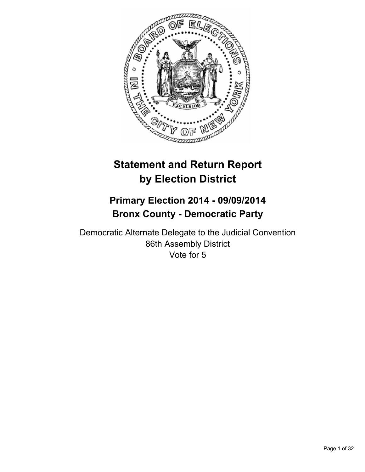

# **Statement and Return Report by Election District**

# **Primary Election 2014 - 09/09/2014 Bronx County - Democratic Party**

Democratic Alternate Delegate to the Judicial Convention 86th Assembly District Vote for 5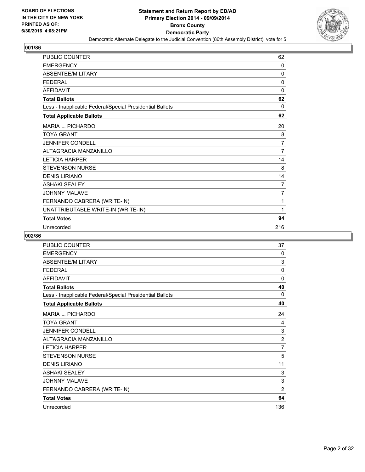![](_page_1_Picture_2.jpeg)

| PUBLIC COUNTER                                           | 62             |
|----------------------------------------------------------|----------------|
| <b>EMERGENCY</b>                                         | 0              |
| <b>ABSENTEE/MILITARY</b>                                 | 0              |
| <b>FEDERAL</b>                                           | $\Omega$       |
| <b>AFFIDAVIT</b>                                         | $\Omega$       |
| <b>Total Ballots</b>                                     | 62             |
| Less - Inapplicable Federal/Special Presidential Ballots | 0              |
| <b>Total Applicable Ballots</b>                          | 62             |
| MARIA L. PICHARDO                                        | 20             |
| <b>TOYA GRANT</b>                                        | 8              |
| <b>JENNIFER CONDELL</b>                                  | $\overline{7}$ |
| <b>ALTAGRACIA MANZANILLO</b>                             | 7              |
| <b>LETICIA HARPER</b>                                    | 14             |
| <b>STEVENSON NURSE</b>                                   | 8              |
| <b>DENIS LIRIANO</b>                                     | 14             |
| <b>ASHAKI SEALEY</b>                                     | 7              |
| <b>JOHNNY MALAVE</b>                                     | $\overline{7}$ |
| FERNANDO CABRERA (WRITE-IN)                              | 1              |
| UNATTRIBUTABLE WRITE-IN (WRITE-IN)                       | 1              |
| <b>Total Votes</b>                                       | 94             |
| Unrecorded                                               | 216            |

| PUBLIC COUNTER                                           | 37             |
|----------------------------------------------------------|----------------|
| <b>EMERGENCY</b>                                         | 0              |
| ABSENTEE/MILITARY                                        | 3              |
| <b>FEDERAL</b>                                           | 0              |
| <b>AFFIDAVIT</b>                                         | $\mathbf{0}$   |
| <b>Total Ballots</b>                                     | 40             |
| Less - Inapplicable Federal/Special Presidential Ballots | 0              |
| <b>Total Applicable Ballots</b>                          | 40             |
| <b>MARIA L. PICHARDO</b>                                 | 24             |
| <b>TOYA GRANT</b>                                        | 4              |
| <b>JENNIFER CONDELL</b>                                  | 3              |
| ALTAGRACIA MANZANILLO                                    | $\overline{2}$ |
| <b>LETICIA HARPER</b>                                    | $\overline{7}$ |
| <b>STEVENSON NURSE</b>                                   | 5              |
| <b>DENIS LIRIANO</b>                                     | 11             |
| <b>ASHAKI SEALEY</b>                                     | 3              |
| <b>JOHNNY MALAVE</b>                                     | 3              |
| FERNANDO CABRERA (WRITE-IN)                              | $\overline{2}$ |
| <b>Total Votes</b>                                       | 64             |
| Unrecorded                                               | 136            |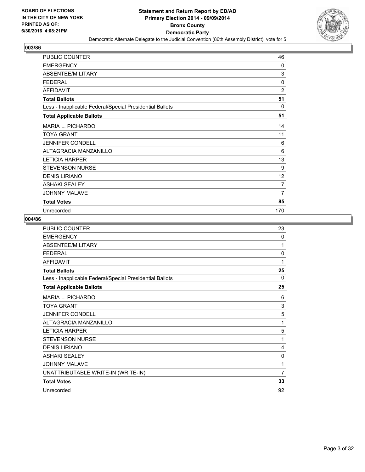![](_page_2_Picture_2.jpeg)

| PUBLIC COUNTER                                           | 46             |
|----------------------------------------------------------|----------------|
| <b>EMERGENCY</b>                                         | 0              |
| <b>ABSENTEE/MILITARY</b>                                 | 3              |
| <b>FEDERAL</b>                                           | 0              |
| <b>AFFIDAVIT</b>                                         | $\overline{2}$ |
| <b>Total Ballots</b>                                     | 51             |
| Less - Inapplicable Federal/Special Presidential Ballots | $\Omega$       |
| <b>Total Applicable Ballots</b>                          | 51             |
| <b>MARIA L. PICHARDO</b>                                 | 14             |
| <b>TOYA GRANT</b>                                        | 11             |
| <b>JENNIFER CONDELL</b>                                  | 6              |
| ALTAGRACIA MANZANILLO                                    | 6              |
| <b>LETICIA HARPER</b>                                    | 13             |
| <b>STEVENSON NURSE</b>                                   | 9              |
| <b>DENIS LIRIANO</b>                                     | 12             |
| <b>ASHAKI SEALEY</b>                                     | 7              |
| <b>JOHNNY MALAVE</b>                                     | 7              |
| <b>Total Votes</b>                                       | 85             |
| Unrecorded                                               | 170            |

| PUBLIC COUNTER                                           | 23 |
|----------------------------------------------------------|----|
| <b>EMERGENCY</b>                                         | 0  |
| ABSENTEE/MILITARY                                        | 1  |
| <b>FEDERAL</b>                                           | 0  |
| <b>AFFIDAVIT</b>                                         | 1  |
| <b>Total Ballots</b>                                     | 25 |
| Less - Inapplicable Federal/Special Presidential Ballots | 0  |
| <b>Total Applicable Ballots</b>                          | 25 |
| <b>MARIA L. PICHARDO</b>                                 | 6  |
| <b>TOYA GRANT</b>                                        | 3  |
| <b>JENNIFER CONDELL</b>                                  | 5  |
| <b>ALTAGRACIA MANZANILLO</b>                             | 1  |
| <b>LETICIA HARPER</b>                                    | 5  |
| <b>STEVENSON NURSE</b>                                   | 1  |
| <b>DENIS LIRIANO</b>                                     | 4  |
| <b>ASHAKI SEALEY</b>                                     | 0  |
| JOHNNY MALAVE                                            | 1  |
| UNATTRIBUTABLE WRITE-IN (WRITE-IN)                       | 7  |
| <b>Total Votes</b>                                       | 33 |
| Unrecorded                                               | 92 |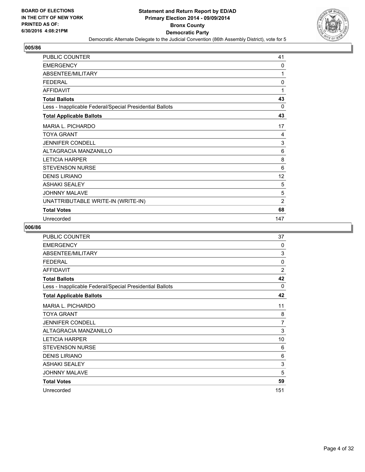![](_page_3_Picture_2.jpeg)

| <b>PUBLIC COUNTER</b>                                    | 41             |
|----------------------------------------------------------|----------------|
| <b>EMERGENCY</b>                                         | 0              |
| ABSENTEE/MILITARY                                        | 1              |
| <b>FEDERAL</b>                                           | $\Omega$       |
| <b>AFFIDAVIT</b>                                         | 1              |
| <b>Total Ballots</b>                                     | 43             |
| Less - Inapplicable Federal/Special Presidential Ballots | 0              |
| <b>Total Applicable Ballots</b>                          | 43             |
| MARIA L. PICHARDO                                        | 17             |
| <b>TOYA GRANT</b>                                        | 4              |
| <b>JENNIFER CONDELL</b>                                  | 3              |
| ALTAGRACIA MANZANILLO                                    | 6              |
| <b>LETICIA HARPER</b>                                    | 8              |
| <b>STEVENSON NURSE</b>                                   | 6              |
| <b>DENIS LIRIANO</b>                                     | 12             |
| <b>ASHAKI SEALEY</b>                                     | 5              |
| <b>JOHNNY MALAVE</b>                                     | 5              |
| UNATTRIBUTABLE WRITE-IN (WRITE-IN)                       | $\overline{2}$ |
| <b>Total Votes</b>                                       | 68             |
| Unrecorded                                               | 147            |

| <b>PUBLIC COUNTER</b>                                    | 37             |
|----------------------------------------------------------|----------------|
| <b>EMERGENCY</b>                                         | 0              |
| ABSENTEE/MILITARY                                        | 3              |
| <b>FEDERAL</b>                                           | $\mathbf{0}$   |
| <b>AFFIDAVIT</b>                                         | $\overline{2}$ |
| <b>Total Ballots</b>                                     | 42             |
| Less - Inapplicable Federal/Special Presidential Ballots | 0              |
| <b>Total Applicable Ballots</b>                          | 42             |
| <b>MARIA L. PICHARDO</b>                                 | 11             |
| <b>TOYA GRANT</b>                                        | 8              |
| <b>JENNIFER CONDELL</b>                                  | 7              |
| ALTAGRACIA MANZANILLO                                    | 3              |
| <b>LETICIA HARPER</b>                                    | 10             |
| <b>STEVENSON NURSE</b>                                   | 6              |
| <b>DENIS LIRIANO</b>                                     | 6              |
| <b>ASHAKI SEALEY</b>                                     | 3              |
| <b>JOHNNY MALAVE</b>                                     | 5              |
| <b>Total Votes</b>                                       | 59             |
| Unrecorded                                               | 151            |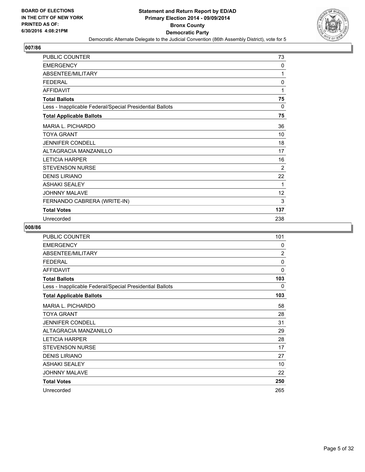![](_page_4_Picture_2.jpeg)

| PUBLIC COUNTER                                           | 73             |
|----------------------------------------------------------|----------------|
| <b>EMERGENCY</b>                                         | 0              |
| ABSENTEE/MILITARY                                        | 1              |
| <b>FEDERAL</b>                                           | 0              |
| <b>AFFIDAVIT</b>                                         | 1              |
| <b>Total Ballots</b>                                     | 75             |
| Less - Inapplicable Federal/Special Presidential Ballots | 0              |
| <b>Total Applicable Ballots</b>                          | 75             |
| <b>MARIA L. PICHARDO</b>                                 | 36             |
| TOYA GRANT                                               | 10             |
| <b>JENNIFER CONDELL</b>                                  | 18             |
| ALTAGRACIA MANZANILLO                                    | 17             |
| <b>LETICIA HARPER</b>                                    | 16             |
| <b>STEVENSON NURSE</b>                                   | $\overline{2}$ |
| <b>DENIS LIRIANO</b>                                     | 22             |
| <b>ASHAKI SEALEY</b>                                     | 1              |
| <b>JOHNNY MALAVE</b>                                     | 12             |
| FERNANDO CABRERA (WRITE-IN)                              | 3              |
| <b>Total Votes</b>                                       | 137            |
| Unrecorded                                               | 238            |

| <b>PUBLIC COUNTER</b>                                    | 101            |
|----------------------------------------------------------|----------------|
| <b>EMERGENCY</b>                                         | 0              |
| ABSENTEE/MILITARY                                        | $\overline{2}$ |
| <b>FEDERAL</b>                                           | 0              |
| <b>AFFIDAVIT</b>                                         | $\mathbf{0}$   |
| <b>Total Ballots</b>                                     | 103            |
| Less - Inapplicable Federal/Special Presidential Ballots | 0              |
| <b>Total Applicable Ballots</b>                          | 103            |
| MARIA L. PICHARDO                                        | 58             |
| TOYA GRANT                                               | 28             |
| <b>JENNIFER CONDELL</b>                                  | 31             |
| ALTAGRACIA MANZANILLO                                    | 29             |
| <b>LETICIA HARPER</b>                                    | 28             |
| <b>STEVENSON NURSE</b>                                   | 17             |
| <b>DENIS LIRIANO</b>                                     | 27             |
| <b>ASHAKI SEALEY</b>                                     | 10             |
| <b>JOHNNY MALAVE</b>                                     | 22             |
| <b>Total Votes</b>                                       | 250            |
| Unrecorded                                               | 265            |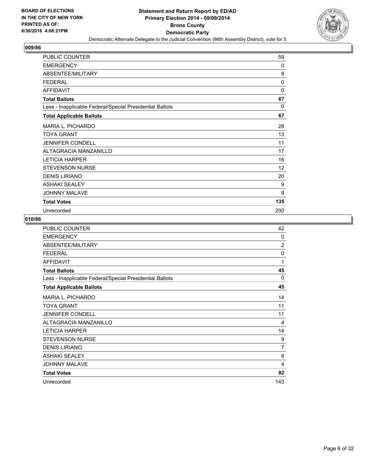![](_page_5_Picture_2.jpeg)

| PUBLIC COUNTER                                           | 59       |
|----------------------------------------------------------|----------|
| <b>EMERGENCY</b>                                         | 0        |
| ABSENTEE/MILITARY                                        | 8        |
| <b>FEDERAL</b>                                           | 0        |
| <b>AFFIDAVIT</b>                                         | 0        |
| <b>Total Ballots</b>                                     | 67       |
| Less - Inapplicable Federal/Special Presidential Ballots | $\Omega$ |
| <b>Total Applicable Ballots</b>                          | 67       |
| <b>MARIA L. PICHARDO</b>                                 | 28       |
| TOYA GRANT                                               | 13       |
| <b>JENNIFER CONDELL</b>                                  | 11       |
| ALTAGRACIA MANZANILLO                                    | 17       |
| <b>LETICIA HARPER</b>                                    | 16       |
| <b>STEVENSON NURSE</b>                                   | 12       |
| <b>DENIS LIRIANO</b>                                     | 20       |
| <b>ASHAKI SEALEY</b>                                     | 9        |
| <b>JOHNNY MALAVE</b>                                     | 9        |
| <b>Total Votes</b>                                       | 135      |
| Unrecorded                                               | 200      |

| PUBLIC COUNTER                                           | 42             |
|----------------------------------------------------------|----------------|
| <b>EMERGENCY</b>                                         | 0              |
| ABSENTEE/MILITARY                                        | $\overline{2}$ |
| <b>FEDERAL</b>                                           | $\mathbf{0}$   |
| <b>AFFIDAVIT</b>                                         | 1              |
| <b>Total Ballots</b>                                     | 45             |
| Less - Inapplicable Federal/Special Presidential Ballots | 0              |
| <b>Total Applicable Ballots</b>                          | 45             |
| <b>MARIA L. PICHARDO</b>                                 | 14             |
| <b>TOYA GRANT</b>                                        | 11             |
| <b>JENNIFER CONDELL</b>                                  | 11             |
| ALTAGRACIA MANZANILLO                                    | 4              |
| <b>LETICIA HARPER</b>                                    | 14             |
| <b>STEVENSON NURSE</b>                                   | 9              |
| <b>DENIS LIRIANO</b>                                     | 7              |
| <b>ASHAKI SEALEY</b>                                     | 8              |
| <b>JOHNNY MALAVE</b>                                     | 4              |
| <b>Total Votes</b>                                       | 82             |
| Unrecorded                                               | 143            |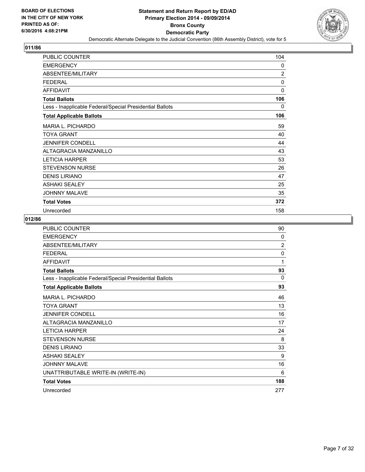![](_page_6_Picture_2.jpeg)

| PUBLIC COUNTER                                           | 104            |
|----------------------------------------------------------|----------------|
| <b>EMERGENCY</b>                                         | 0              |
| ABSENTEE/MILITARY                                        | $\overline{2}$ |
| <b>FEDERAL</b>                                           | 0              |
| <b>AFFIDAVIT</b>                                         | $\mathbf{0}$   |
| <b>Total Ballots</b>                                     | 106            |
| Less - Inapplicable Federal/Special Presidential Ballots | 0              |
| <b>Total Applicable Ballots</b>                          | 106            |
| MARIA L. PICHARDO                                        | 59             |
| <b>TOYA GRANT</b>                                        | 40             |
| <b>JENNIFER CONDELL</b>                                  | 44             |
| ALTAGRACIA MANZANILLO                                    | 43             |
| <b>LETICIA HARPER</b>                                    | 53             |
| <b>STEVENSON NURSE</b>                                   | 26             |
| <b>DENIS LIRIANO</b>                                     | 47             |
| <b>ASHAKI SEALEY</b>                                     | 25             |
| <b>JOHNNY MALAVE</b>                                     | 35             |
| <b>Total Votes</b>                                       | 372            |
| Unrecorded                                               | 158            |

| PUBLIC COUNTER                                           | 90             |
|----------------------------------------------------------|----------------|
| <b>EMERGENCY</b>                                         | $\Omega$       |
| ABSENTEE/MILITARY                                        | $\overline{2}$ |
| <b>FEDERAL</b>                                           | 0              |
| <b>AFFIDAVIT</b>                                         | 1              |
| <b>Total Ballots</b>                                     | 93             |
| Less - Inapplicable Federal/Special Presidential Ballots | 0              |
| <b>Total Applicable Ballots</b>                          | 93             |
| <b>MARIA L. PICHARDO</b>                                 | 46             |
| <b>TOYA GRANT</b>                                        | 13             |
| <b>JENNIFER CONDELL</b>                                  | 16             |
| <b>ALTAGRACIA MANZANILLO</b>                             | 17             |
| <b>LETICIA HARPER</b>                                    | 24             |
| <b>STEVENSON NURSE</b>                                   | 8              |
| <b>DENIS LIRIANO</b>                                     | 33             |
| <b>ASHAKI SEALEY</b>                                     | 9              |
| <b>JOHNNY MALAVE</b>                                     | 16             |
| UNATTRIBUTABLE WRITE-IN (WRITE-IN)                       | 6              |
| <b>Total Votes</b>                                       | 188            |
| Unrecorded                                               | 277            |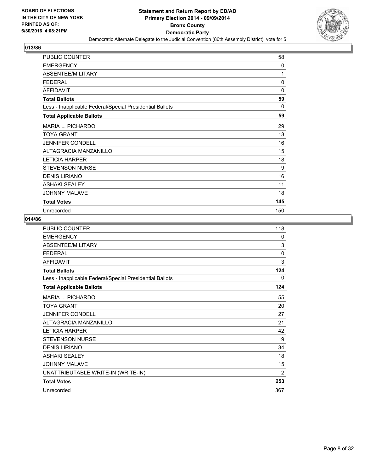![](_page_7_Picture_2.jpeg)

| PUBLIC COUNTER                                           | 58          |
|----------------------------------------------------------|-------------|
| <b>EMERGENCY</b>                                         | 0           |
| ABSENTEE/MILITARY                                        | 1           |
| <b>FEDERAL</b>                                           | $\mathbf 0$ |
| <b>AFFIDAVIT</b>                                         | $\Omega$    |
| <b>Total Ballots</b>                                     | 59          |
| Less - Inapplicable Federal/Special Presidential Ballots | 0           |
| <b>Total Applicable Ballots</b>                          | 59          |
| <b>MARIA L. PICHARDO</b>                                 | 29          |
| <b>TOYA GRANT</b>                                        | 13          |
| <b>JENNIFER CONDELL</b>                                  | 16          |
| ALTAGRACIA MANZANILLO                                    | 15          |
| <b>LETICIA HARPER</b>                                    | 18          |
| <b>STEVENSON NURSE</b>                                   | 9           |
| <b>DENIS LIRIANO</b>                                     | 16          |
| <b>ASHAKI SEALEY</b>                                     | 11          |
| <b>JOHNNY MALAVE</b>                                     | 18          |
| <b>Total Votes</b>                                       | 145         |
| Unrecorded                                               | 150         |

| <b>PUBLIC COUNTER</b>                                    | 118 |
|----------------------------------------------------------|-----|
| <b>EMERGENCY</b>                                         | 0   |
| ABSENTEE/MILITARY                                        | 3   |
| <b>FEDERAL</b>                                           | 0   |
| <b>AFFIDAVIT</b>                                         | 3   |
| <b>Total Ballots</b>                                     | 124 |
| Less - Inapplicable Federal/Special Presidential Ballots | 0   |
| <b>Total Applicable Ballots</b>                          | 124 |
| <b>MARIA L. PICHARDO</b>                                 | 55  |
| <b>TOYA GRANT</b>                                        | 20  |
| <b>JENNIFER CONDELL</b>                                  | 27  |
| <b>ALTAGRACIA MANZANILLO</b>                             | 21  |
| <b>LETICIA HARPER</b>                                    | 42  |
| <b>STEVENSON NURSE</b>                                   | 19  |
| <b>DENIS LIRIANO</b>                                     | 34  |
| <b>ASHAKI SEALEY</b>                                     | 18  |
| <b>JOHNNY MALAVE</b>                                     | 15  |
| UNATTRIBUTABLE WRITE-IN (WRITE-IN)                       | 2   |
| <b>Total Votes</b>                                       | 253 |
| Unrecorded                                               | 367 |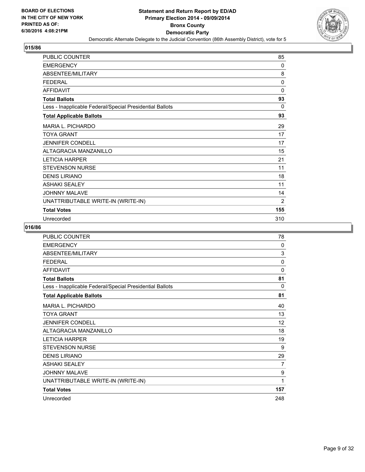![](_page_8_Picture_2.jpeg)

| PUBLIC COUNTER                                           | 85             |
|----------------------------------------------------------|----------------|
| <b>EMERGENCY</b>                                         | $\Omega$       |
| ABSENTEE/MILITARY                                        | 8              |
| <b>FEDERAL</b>                                           | 0              |
| <b>AFFIDAVIT</b>                                         | 0              |
| <b>Total Ballots</b>                                     | 93             |
| Less - Inapplicable Federal/Special Presidential Ballots | $\Omega$       |
| <b>Total Applicable Ballots</b>                          | 93             |
| <b>MARIA L. PICHARDO</b>                                 | 29             |
| <b>TOYA GRANT</b>                                        | 17             |
| <b>JENNIFER CONDELL</b>                                  | 17             |
| ALTAGRACIA MANZANILLO                                    | 15             |
| <b>LETICIA HARPER</b>                                    | 21             |
| <b>STEVENSON NURSE</b>                                   | 11             |
| <b>DENIS LIRIANO</b>                                     | 18             |
| <b>ASHAKI SEALEY</b>                                     | 11             |
| <b>JOHNNY MALAVE</b>                                     | 14             |
| UNATTRIBUTABLE WRITE-IN (WRITE-IN)                       | $\overline{2}$ |
| <b>Total Votes</b>                                       | 155            |
| Unrecorded                                               | 310            |

| <b>PUBLIC COUNTER</b>                                    | 78       |
|----------------------------------------------------------|----------|
| <b>EMERGENCY</b>                                         | $\Omega$ |
| ABSENTEE/MILITARY                                        | 3        |
| <b>FEDERAL</b>                                           | $\Omega$ |
| <b>AFFIDAVIT</b>                                         | $\Omega$ |
| <b>Total Ballots</b>                                     | 81       |
| Less - Inapplicable Federal/Special Presidential Ballots | $\Omega$ |
| <b>Total Applicable Ballots</b>                          | 81       |
| <b>MARIA L. PICHARDO</b>                                 | 40       |
| <b>TOYA GRANT</b>                                        | 13       |
| <b>JENNIFER CONDELL</b>                                  | 12       |
| ALTAGRACIA MANZANILLO                                    | 18       |
| <b>LETICIA HARPER</b>                                    | 19       |
| <b>STEVENSON NURSE</b>                                   | 9        |
| <b>DENIS LIRIANO</b>                                     | 29       |
| <b>ASHAKI SEALEY</b>                                     | 7        |
| <b>JOHNNY MALAVE</b>                                     | 9        |
| UNATTRIBUTABLE WRITE-IN (WRITE-IN)                       | 1        |
| <b>Total Votes</b>                                       | 157      |
| Unrecorded                                               | 248      |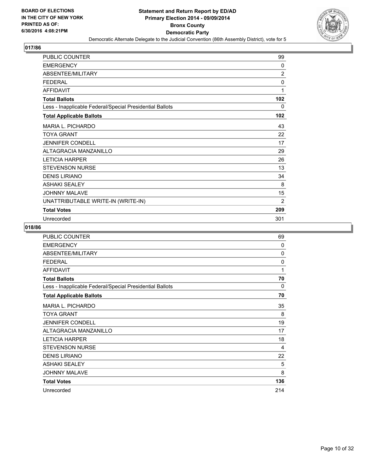![](_page_9_Picture_2.jpeg)

| PUBLIC COUNTER                                           | 99             |
|----------------------------------------------------------|----------------|
| <b>EMERGENCY</b>                                         | $\mathbf{0}$   |
| ABSENTEE/MILITARY                                        | $\overline{2}$ |
| <b>FEDERAL</b>                                           | 0              |
| <b>AFFIDAVIT</b>                                         | 1              |
| <b>Total Ballots</b>                                     | 102            |
| Less - Inapplicable Federal/Special Presidential Ballots | 0              |
| <b>Total Applicable Ballots</b>                          | 102            |
| <b>MARIA L. PICHARDO</b>                                 | 43             |
| TOYA GRANT                                               | 22             |
| <b>JENNIFER CONDELL</b>                                  | 17             |
| ALTAGRACIA MANZANILLO                                    | 29             |
| <b>LETICIA HARPER</b>                                    | 26             |
| <b>STEVENSON NURSE</b>                                   | 13             |
| <b>DENIS LIRIANO</b>                                     | 34             |
| <b>ASHAKI SEALEY</b>                                     | 8              |
| <b>JOHNNY MALAVE</b>                                     | 15             |
| UNATTRIBUTABLE WRITE-IN (WRITE-IN)                       | $\overline{2}$ |
| <b>Total Votes</b>                                       | 209            |
| Unrecorded                                               | 301            |

| <b>PUBLIC COUNTER</b>                                    | 69       |
|----------------------------------------------------------|----------|
| <b>EMERGENCY</b>                                         | $\Omega$ |
| ABSENTEE/MILITARY                                        | 0        |
| <b>FEDERAL</b>                                           | 0        |
| <b>AFFIDAVIT</b>                                         | 1        |
| <b>Total Ballots</b>                                     | 70       |
| Less - Inapplicable Federal/Special Presidential Ballots | 0        |
| <b>Total Applicable Ballots</b>                          | 70       |
| <b>MARIA L. PICHARDO</b>                                 | 35       |
| <b>TOYA GRANT</b>                                        | 8        |
| <b>JENNIFER CONDELL</b>                                  | 19       |
| ALTAGRACIA MANZANILLO                                    | 17       |
| <b>LETICIA HARPER</b>                                    | 18       |
| <b>STEVENSON NURSE</b>                                   | 4        |
| <b>DENIS LIRIANO</b>                                     | 22       |
| <b>ASHAKI SEALEY</b>                                     | 5        |
| <b>JOHNNY MALAVE</b>                                     | 8        |
| <b>Total Votes</b>                                       | 136      |
| Unrecorded                                               | 214      |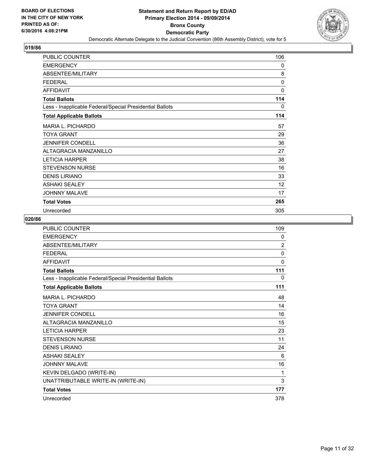![](_page_10_Picture_2.jpeg)

| PUBLIC COUNTER                                           | 106 |
|----------------------------------------------------------|-----|
| <b>EMERGENCY</b>                                         | 0   |
| ABSENTEE/MILITARY                                        | 8   |
| <b>FEDERAL</b>                                           | 0   |
| <b>AFFIDAVIT</b>                                         | 0   |
| <b>Total Ballots</b>                                     | 114 |
| Less - Inapplicable Federal/Special Presidential Ballots | 0   |
| <b>Total Applicable Ballots</b>                          | 114 |
| <b>MARIA L. PICHARDO</b>                                 | 57  |
| <b>TOYA GRANT</b>                                        | 29  |
| <b>JENNIFER CONDELL</b>                                  | 36  |
| ALTAGRACIA MANZANILLO                                    | 27  |
| <b>LETICIA HARPER</b>                                    | 38  |
| <b>STEVENSON NURSE</b>                                   | 16  |
| <b>DENIS LIRIANO</b>                                     | 33  |
| <b>ASHAKI SEALEY</b>                                     | 12  |
| <b>JOHNNY MALAVE</b>                                     | 17  |
| <b>Total Votes</b>                                       | 265 |
| Unrecorded                                               | 305 |

| PUBLIC COUNTER                                           | 109            |
|----------------------------------------------------------|----------------|
| <b>EMERGENCY</b>                                         | 0              |
| <b>ABSENTEE/MILITARY</b>                                 | $\overline{2}$ |
| <b>FEDERAL</b>                                           | $\mathbf{0}$   |
| <b>AFFIDAVIT</b>                                         | 0              |
| <b>Total Ballots</b>                                     | 111            |
| Less - Inapplicable Federal/Special Presidential Ballots | 0              |
| <b>Total Applicable Ballots</b>                          | 111            |
| <b>MARIA L. PICHARDO</b>                                 | 48             |
| <b>TOYA GRANT</b>                                        | 14             |
| <b>JENNIFER CONDELL</b>                                  | 16             |
| ALTAGRACIA MANZANILLO                                    | 15             |
| <b>LETICIA HARPER</b>                                    | 23             |
| <b>STEVENSON NURSE</b>                                   | 11             |
| <b>DENIS LIRIANO</b>                                     | 24             |
| <b>ASHAKI SEALEY</b>                                     | 6              |
| <b>JOHNNY MALAVE</b>                                     | 16             |
| KEVIN DELGADO (WRITE-IN)                                 | 1              |
| UNATTRIBUTABLE WRITE-IN (WRITE-IN)                       | 3              |
| <b>Total Votes</b>                                       | 177            |
| Unrecorded                                               | 378            |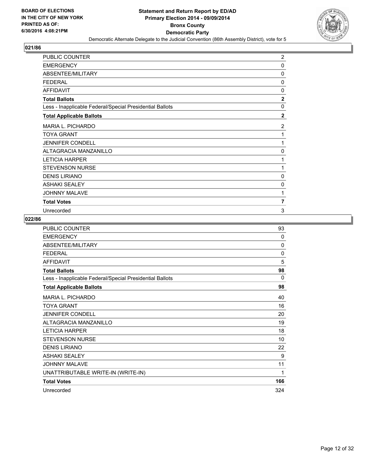![](_page_11_Picture_2.jpeg)

| PUBLIC COUNTER                                           | $\overline{c}$ |
|----------------------------------------------------------|----------------|
| <b>EMERGENCY</b>                                         | 0              |
| <b>ABSENTEE/MILITARY</b>                                 | 0              |
| <b>FEDERAL</b>                                           | 0              |
| <b>AFFIDAVIT</b>                                         | 0              |
| <b>Total Ballots</b>                                     | $\overline{2}$ |
| Less - Inapplicable Federal/Special Presidential Ballots | $\mathbf{0}$   |
| <b>Total Applicable Ballots</b>                          | $\overline{2}$ |
| <b>MARIA L. PICHARDO</b>                                 | $\overline{2}$ |
| <b>TOYA GRANT</b>                                        | 1              |
| <b>JENNIFER CONDELL</b>                                  | 1              |
| <b>ALTAGRACIA MANZANILLO</b>                             | 0              |
| <b>LETICIA HARPER</b>                                    | 1              |
| <b>STEVENSON NURSE</b>                                   | 1              |
| <b>DENIS LIRIANO</b>                                     | 0              |
| <b>ASHAKI SEALEY</b>                                     | 0              |
| <b>JOHNNY MALAVE</b>                                     | 1              |
| <b>Total Votes</b>                                       | 7              |
| Unrecorded                                               | 3              |

| <b>PUBLIC COUNTER</b>                                    | 93           |
|----------------------------------------------------------|--------------|
| <b>EMERGENCY</b>                                         | $\Omega$     |
| ABSENTEE/MILITARY                                        | $\Omega$     |
| <b>FEDERAL</b>                                           | $\mathbf{0}$ |
| <b>AFFIDAVIT</b>                                         | 5            |
| <b>Total Ballots</b>                                     | 98           |
| Less - Inapplicable Federal/Special Presidential Ballots | 0            |
| <b>Total Applicable Ballots</b>                          | 98           |
| <b>MARIA L. PICHARDO</b>                                 | 40           |
| <b>TOYA GRANT</b>                                        | 16           |
| <b>JENNIFER CONDELL</b>                                  | 20           |
| ALTAGRACIA MANZANILLO                                    | 19           |
| <b>LETICIA HARPER</b>                                    | 18           |
| <b>STEVENSON NURSE</b>                                   | 10           |
| <b>DENIS LIRIANO</b>                                     | 22           |
| <b>ASHAKI SEALEY</b>                                     | 9            |
| <b>JOHNNY MALAVE</b>                                     | 11           |
| UNATTRIBUTABLE WRITE-IN (WRITE-IN)                       | $\mathbf{1}$ |
| <b>Total Votes</b>                                       | 166          |
| Unrecorded                                               | 324          |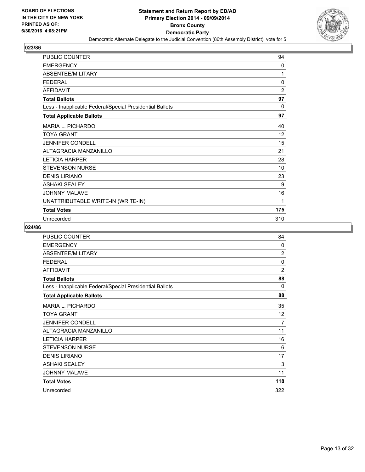![](_page_12_Picture_2.jpeg)

| <b>PUBLIC COUNTER</b>                                    | 94             |
|----------------------------------------------------------|----------------|
| <b>EMERGENCY</b>                                         | 0              |
| ABSENTEE/MILITARY                                        | 1              |
| <b>FEDERAL</b>                                           | $\mathbf{0}$   |
| <b>AFFIDAVIT</b>                                         | $\overline{2}$ |
| <b>Total Ballots</b>                                     | 97             |
| Less - Inapplicable Federal/Special Presidential Ballots | $\Omega$       |
| <b>Total Applicable Ballots</b>                          | 97             |
| MARIA L. PICHARDO                                        | 40             |
| <b>TOYA GRANT</b>                                        | 12             |
| <b>JENNIFER CONDELL</b>                                  | 15             |
| ALTAGRACIA MANZANILLO                                    | 21             |
| <b>LETICIA HARPER</b>                                    | 28             |
| <b>STEVENSON NURSE</b>                                   | 10             |
| <b>DENIS LIRIANO</b>                                     | 23             |
| <b>ASHAKI SEALEY</b>                                     | 9              |
| <b>JOHNNY MALAVE</b>                                     | 16             |
| UNATTRIBUTABLE WRITE-IN (WRITE-IN)                       | 1              |
| <b>Total Votes</b>                                       | 175            |
| Unrecorded                                               | 310            |

| <b>PUBLIC COUNTER</b>                                    | 84             |
|----------------------------------------------------------|----------------|
| <b>EMERGENCY</b>                                         | $\mathbf{0}$   |
| ABSENTEE/MILITARY                                        | $\overline{2}$ |
| <b>FEDERAL</b>                                           | 0              |
| <b>AFFIDAVIT</b>                                         | $\overline{2}$ |
| <b>Total Ballots</b>                                     | 88             |
| Less - Inapplicable Federal/Special Presidential Ballots | 0              |
| <b>Total Applicable Ballots</b>                          | 88             |
| MARIA L. PICHARDO                                        | 35             |
| <b>TOYA GRANT</b>                                        | 12             |
| <b>JENNIFER CONDELL</b>                                  | 7              |
| <b>ALTAGRACIA MANZANILLO</b>                             | 11             |
| <b>LETICIA HARPER</b>                                    | 16             |
| <b>STEVENSON NURSE</b>                                   | 6              |
| <b>DENIS LIRIANO</b>                                     | 17             |
| <b>ASHAKI SEALEY</b>                                     | 3              |
| <b>JOHNNY MALAVE</b>                                     | 11             |
| <b>Total Votes</b>                                       | 118            |
| Unrecorded                                               | 322            |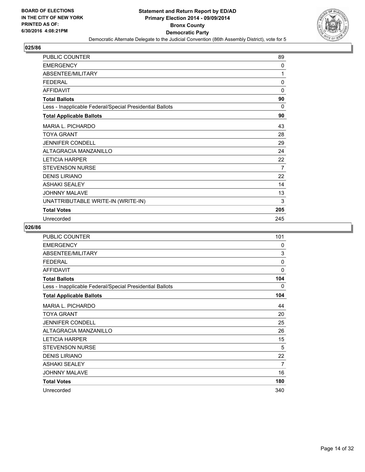![](_page_13_Picture_2.jpeg)

| <b>PUBLIC COUNTER</b>                                    | 89       |
|----------------------------------------------------------|----------|
| <b>EMERGENCY</b>                                         | 0        |
| ABSENTEE/MILITARY                                        | 1        |
| <b>FEDERAL</b>                                           | $\Omega$ |
| <b>AFFIDAVIT</b>                                         | 0        |
| <b>Total Ballots</b>                                     | 90       |
| Less - Inapplicable Federal/Special Presidential Ballots | $\Omega$ |
| <b>Total Applicable Ballots</b>                          | 90       |
| MARIA L. PICHARDO                                        | 43       |
| <b>TOYA GRANT</b>                                        | 28       |
| <b>JENNIFER CONDELL</b>                                  | 29       |
| ALTAGRACIA MANZANILLO                                    | 24       |
| <b>LETICIA HARPER</b>                                    | 22       |
| <b>STEVENSON NURSE</b>                                   | 7        |
| <b>DENIS LIRIANO</b>                                     | 22       |
| <b>ASHAKI SEALEY</b>                                     | 14       |
| <b>JOHNNY MALAVE</b>                                     | 13       |
| UNATTRIBUTABLE WRITE-IN (WRITE-IN)                       | 3        |
| <b>Total Votes</b>                                       | 205      |
| Unrecorded                                               | 245      |

| <b>PUBLIC COUNTER</b>                                    | 101          |
|----------------------------------------------------------|--------------|
| <b>EMERGENCY</b>                                         | 0            |
| ABSENTEE/MILITARY                                        | 3            |
| <b>FEDERAL</b>                                           | $\mathbf{0}$ |
| <b>AFFIDAVIT</b>                                         | $\mathbf{0}$ |
| <b>Total Ballots</b>                                     | 104          |
| Less - Inapplicable Federal/Special Presidential Ballots | 0            |
| <b>Total Applicable Ballots</b>                          | 104          |
| MARIA L. PICHARDO                                        | 44           |
| <b>TOYA GRANT</b>                                        | 20           |
| <b>JENNIFER CONDELL</b>                                  | 25           |
| ALTAGRACIA MANZANILLO                                    | 26           |
| <b>LETICIA HARPER</b>                                    | 15           |
| <b>STEVENSON NURSE</b>                                   | 5            |
| <b>DENIS LIRIANO</b>                                     | 22           |
| <b>ASHAKI SEALEY</b>                                     | 7            |
| <b>JOHNNY MALAVE</b>                                     | 16           |
| <b>Total Votes</b>                                       | 180          |
| Unrecorded                                               | 340          |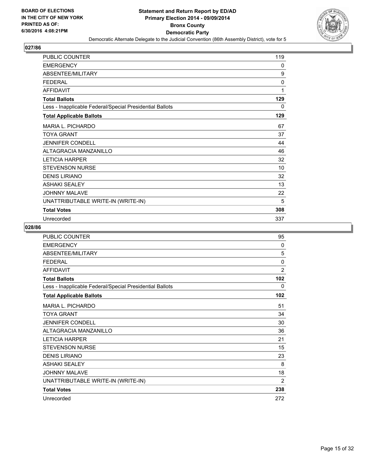![](_page_14_Picture_2.jpeg)

| <b>PUBLIC COUNTER</b>                                    | 119 |
|----------------------------------------------------------|-----|
| <b>EMERGENCY</b>                                         | 0   |
| ABSENTEE/MILITARY                                        | 9   |
| <b>FEDERAL</b>                                           | 0   |
| <b>AFFIDAVIT</b>                                         | 1   |
| <b>Total Ballots</b>                                     | 129 |
| Less - Inapplicable Federal/Special Presidential Ballots | 0   |
| <b>Total Applicable Ballots</b>                          | 129 |
| <b>MARIA L. PICHARDO</b>                                 | 67  |
| <b>TOYA GRANT</b>                                        | 37  |
| <b>JENNIFER CONDELL</b>                                  | 44  |
| ALTAGRACIA MANZANILLO                                    | 46  |
| <b>LETICIA HARPER</b>                                    | 32  |
| <b>STEVENSON NURSE</b>                                   | 10  |
| <b>DENIS LIRIANO</b>                                     | 32  |
| <b>ASHAKI SEALEY</b>                                     | 13  |
| <b>JOHNNY MALAVE</b>                                     | 22  |
| UNATTRIBUTABLE WRITE-IN (WRITE-IN)                       | 5   |
| <b>Total Votes</b>                                       | 308 |
| Unrecorded                                               | 337 |

| <b>PUBLIC COUNTER</b>                                    | 95             |
|----------------------------------------------------------|----------------|
| <b>EMERGENCY</b>                                         | 0              |
| ABSENTEE/MILITARY                                        | 5              |
| <b>FEDERAL</b>                                           | $\mathbf{0}$   |
| <b>AFFIDAVIT</b>                                         | $\overline{2}$ |
| <b>Total Ballots</b>                                     | 102            |
| Less - Inapplicable Federal/Special Presidential Ballots | 0              |
| <b>Total Applicable Ballots</b>                          | 102            |
| <b>MARIA L. PICHARDO</b>                                 | 51             |
| <b>TOYA GRANT</b>                                        | 34             |
| <b>JENNIFER CONDELL</b>                                  | 30             |
| ALTAGRACIA MANZANILLO                                    | 36             |
| <b>LETICIA HARPER</b>                                    | 21             |
| <b>STEVENSON NURSE</b>                                   | 15             |
| <b>DENIS LIRIANO</b>                                     | 23             |
| <b>ASHAKI SEALEY</b>                                     | 8              |
| <b>JOHNNY MALAVE</b>                                     | 18             |
| UNATTRIBUTABLE WRITE-IN (WRITE-IN)                       | 2              |
| <b>Total Votes</b>                                       | 238            |
| Unrecorded                                               | 272            |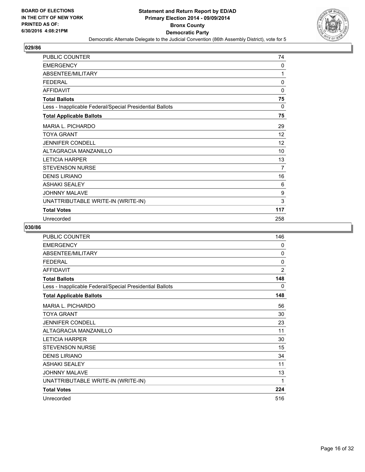![](_page_15_Picture_2.jpeg)

| <b>PUBLIC COUNTER</b>                                    | 74           |
|----------------------------------------------------------|--------------|
| <b>EMERGENCY</b>                                         | 0            |
| ABSENTEE/MILITARY                                        | 1            |
| <b>FEDERAL</b>                                           | $\mathbf{0}$ |
| <b>AFFIDAVIT</b>                                         | 0            |
| <b>Total Ballots</b>                                     | 75           |
| Less - Inapplicable Federal/Special Presidential Ballots | $\mathbf{0}$ |
| <b>Total Applicable Ballots</b>                          | 75           |
| MARIA L. PICHARDO                                        | 29           |
| <b>TOYA GRANT</b>                                        | 12           |
| <b>JENNIFER CONDELL</b>                                  | 12           |
| ALTAGRACIA MANZANILLO                                    | 10           |
| <b>LETICIA HARPER</b>                                    | 13           |
| <b>STEVENSON NURSE</b>                                   | 7            |
| <b>DENIS LIRIANO</b>                                     | 16           |
| <b>ASHAKI SEALEY</b>                                     | 6            |
| <b>JOHNNY MALAVE</b>                                     | 9            |
| UNATTRIBUTABLE WRITE-IN (WRITE-IN)                       | 3            |
| <b>Total Votes</b>                                       | 117          |
| Unrecorded                                               | 258          |

| PUBLIC COUNTER                                           | 146            |
|----------------------------------------------------------|----------------|
| <b>EMERGENCY</b>                                         | 0              |
| ABSENTEE/MILITARY                                        | $\mathbf{0}$   |
| <b>FEDERAL</b>                                           | 0              |
| <b>AFFIDAVIT</b>                                         | $\overline{2}$ |
| <b>Total Ballots</b>                                     | 148            |
| Less - Inapplicable Federal/Special Presidential Ballots | 0              |
| <b>Total Applicable Ballots</b>                          | 148            |
| <b>MARIA L. PICHARDO</b>                                 | 56             |
| <b>TOYA GRANT</b>                                        | 30             |
| <b>JENNIFER CONDELL</b>                                  | 23             |
| ALTAGRACIA MANZANILLO                                    | 11             |
| <b>LETICIA HARPER</b>                                    | 30             |
| <b>STEVENSON NURSE</b>                                   | 15             |
| <b>DENIS LIRIANO</b>                                     | 34             |
| <b>ASHAKI SEALEY</b>                                     | 11             |
| <b>JOHNNY MALAVE</b>                                     | 13             |
| UNATTRIBUTABLE WRITE-IN (WRITE-IN)                       | 1              |
| <b>Total Votes</b>                                       | 224            |
| Unrecorded                                               | 516            |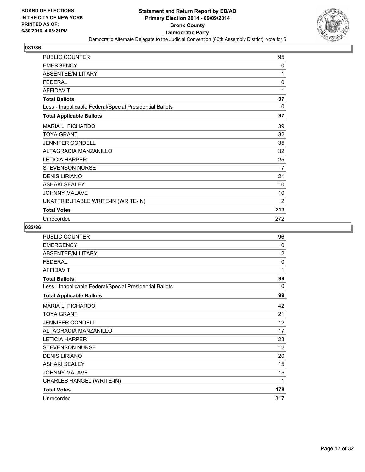![](_page_16_Picture_2.jpeg)

| PUBLIC COUNTER                                           | 95             |
|----------------------------------------------------------|----------------|
| <b>EMERGENCY</b>                                         | 0              |
| ABSENTEE/MILITARY                                        | 1              |
| <b>FEDERAL</b>                                           | 0              |
| <b>AFFIDAVIT</b>                                         | 1              |
| <b>Total Ballots</b>                                     | 97             |
| Less - Inapplicable Federal/Special Presidential Ballots | $\Omega$       |
| <b>Total Applicable Ballots</b>                          | 97             |
| <b>MARIA L. PICHARDO</b>                                 | 39             |
| <b>TOYA GRANT</b>                                        | 32             |
| <b>JENNIFER CONDELL</b>                                  | 35             |
| ALTAGRACIA MANZANILLO                                    | 32             |
| <b>LETICIA HARPER</b>                                    | 25             |
| <b>STEVENSON NURSE</b>                                   | 7              |
| <b>DENIS LIRIANO</b>                                     | 21             |
| <b>ASHAKI SEALEY</b>                                     | 10             |
| <b>JOHNNY MALAVE</b>                                     | 10             |
| UNATTRIBUTABLE WRITE-IN (WRITE-IN)                       | $\overline{2}$ |
| <b>Total Votes</b>                                       | 213            |
| Unrecorded                                               | 272            |

| <b>PUBLIC COUNTER</b>                                    | 96             |
|----------------------------------------------------------|----------------|
| <b>EMERGENCY</b>                                         | $\mathbf{0}$   |
| ABSENTEE/MILITARY                                        | $\overline{2}$ |
| <b>FEDERAL</b>                                           | 0              |
| <b>AFFIDAVIT</b>                                         | 1              |
| <b>Total Ballots</b>                                     | 99             |
| Less - Inapplicable Federal/Special Presidential Ballots | 0              |
| <b>Total Applicable Ballots</b>                          | 99             |
| MARIA L. PICHARDO                                        | 42             |
| <b>TOYA GRANT</b>                                        | 21             |
| <b>JENNIFER CONDELL</b>                                  | 12             |
| <b>ALTAGRACIA MANZANILLO</b>                             | 17             |
| <b>LETICIA HARPER</b>                                    | 23             |
| <b>STEVENSON NURSE</b>                                   | 12             |
| <b>DENIS LIRIANO</b>                                     | 20             |
| <b>ASHAKI SEALEY</b>                                     | 15             |
| <b>JOHNNY MALAVE</b>                                     | 15             |
| CHARLES RANGEL (WRITE-IN)                                | 1              |
| <b>Total Votes</b>                                       | 178            |
| Unrecorded                                               | 317            |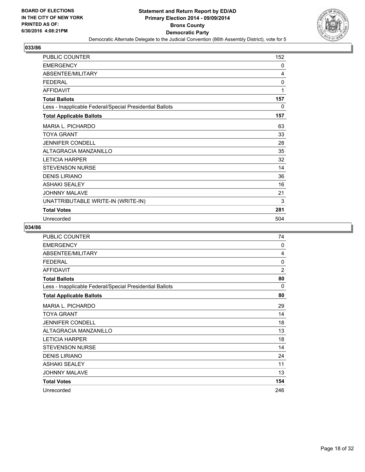![](_page_17_Picture_2.jpeg)

| PUBLIC COUNTER                                           | 152 |
|----------------------------------------------------------|-----|
| <b>EMERGENCY</b>                                         | 0   |
| ABSENTEE/MILITARY                                        | 4   |
| <b>FEDERAL</b>                                           | 0   |
| <b>AFFIDAVIT</b>                                         | 1   |
| <b>Total Ballots</b>                                     | 157 |
| Less - Inapplicable Federal/Special Presidential Ballots | 0   |
| <b>Total Applicable Ballots</b>                          | 157 |
| MARIA L. PICHARDO                                        | 63  |
| <b>TOYA GRANT</b>                                        | 33  |
| <b>JENNIFER CONDELL</b>                                  | 28  |
| ALTAGRACIA MANZANILLO                                    | 35  |
| <b>LETICIA HARPER</b>                                    | 32  |
| <b>STEVENSON NURSE</b>                                   | 14  |
| <b>DENIS LIRIANO</b>                                     | 36  |
| <b>ASHAKI SEALEY</b>                                     | 16  |
| <b>JOHNNY MALAVE</b>                                     | 21  |
| UNATTRIBUTABLE WRITE-IN (WRITE-IN)                       | 3   |
| <b>Total Votes</b>                                       | 281 |
| Unrecorded                                               | 504 |

| <b>PUBLIC COUNTER</b>                                    | 74             |
|----------------------------------------------------------|----------------|
| <b>EMERGENCY</b>                                         | 0              |
| ABSENTEE/MILITARY                                        | 4              |
| <b>FEDERAL</b>                                           | $\mathbf{0}$   |
| <b>AFFIDAVIT</b>                                         | $\overline{2}$ |
| <b>Total Ballots</b>                                     | 80             |
| Less - Inapplicable Federal/Special Presidential Ballots | 0              |
| <b>Total Applicable Ballots</b>                          | 80             |
| <b>MARIA L. PICHARDO</b>                                 | 29             |
| <b>TOYA GRANT</b>                                        | 14             |
| <b>JENNIFER CONDELL</b>                                  | 18             |
| ALTAGRACIA MANZANILLO                                    | 13             |
| <b>LETICIA HARPER</b>                                    | 18             |
| <b>STEVENSON NURSE</b>                                   | 14             |
| <b>DENIS LIRIANO</b>                                     | 24             |
| <b>ASHAKI SEALEY</b>                                     | 11             |
| <b>JOHNNY MALAVE</b>                                     | 13             |
| <b>Total Votes</b>                                       | 154            |
| Unrecorded                                               | 246            |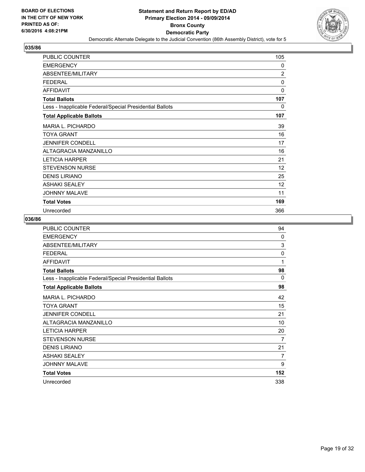![](_page_18_Picture_2.jpeg)

| PUBLIC COUNTER                                           | 105            |
|----------------------------------------------------------|----------------|
| <b>EMERGENCY</b>                                         | 0              |
| ABSENTEE/MILITARY                                        | $\overline{2}$ |
| <b>FEDERAL</b>                                           | 0              |
| <b>AFFIDAVIT</b>                                         | 0              |
| <b>Total Ballots</b>                                     | 107            |
| Less - Inapplicable Federal/Special Presidential Ballots | $\mathbf{0}$   |
| <b>Total Applicable Ballots</b>                          | 107            |
| <b>MARIA L. PICHARDO</b>                                 | 39             |
| <b>TOYA GRANT</b>                                        | 16             |
| <b>JENNIFER CONDELL</b>                                  | 17             |
| ALTAGRACIA MANZANILLO                                    | 16             |
| <b>LETICIA HARPER</b>                                    | 21             |
| <b>STEVENSON NURSE</b>                                   | 12             |
| <b>DENIS LIRIANO</b>                                     | 25             |
| <b>ASHAKI SEALEY</b>                                     | 12             |
| <b>JOHNNY MALAVE</b>                                     | 11             |
| <b>Total Votes</b>                                       | 169            |
| Unrecorded                                               | 366            |

| <b>PUBLIC COUNTER</b>                                    | 94           |
|----------------------------------------------------------|--------------|
| <b>EMERGENCY</b>                                         | $\mathbf{0}$ |
| ABSENTEE/MILITARY                                        | 3            |
| <b>FEDERAL</b>                                           | 0            |
| <b>AFFIDAVIT</b>                                         | 1            |
| <b>Total Ballots</b>                                     | 98           |
| Less - Inapplicable Federal/Special Presidential Ballots | 0            |
| <b>Total Applicable Ballots</b>                          | 98           |
| MARIA L. PICHARDO                                        | 42           |
| <b>TOYA GRANT</b>                                        | 15           |
| <b>JENNIFER CONDELL</b>                                  | 21           |
| ALTAGRACIA MANZANILLO                                    | 10           |
| <b>LETICIA HARPER</b>                                    | 20           |
| <b>STEVENSON NURSE</b>                                   | 7            |
| <b>DENIS LIRIANO</b>                                     | 21           |
| <b>ASHAKI SEALEY</b>                                     | 7            |
| <b>JOHNNY MALAVE</b>                                     | 9            |
| <b>Total Votes</b>                                       | 152          |
| Unrecorded                                               | 338          |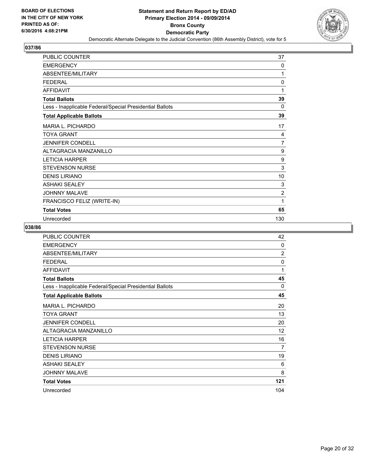![](_page_19_Picture_2.jpeg)

| <b>PUBLIC COUNTER</b>                                    | 37             |
|----------------------------------------------------------|----------------|
| <b>EMERGENCY</b>                                         | 0              |
| ABSENTEE/MILITARY                                        | 1              |
| <b>FEDERAL</b>                                           | $\mathbf{0}$   |
| <b>AFFIDAVIT</b>                                         | 1              |
| <b>Total Ballots</b>                                     | 39             |
| Less - Inapplicable Federal/Special Presidential Ballots | $\Omega$       |
| <b>Total Applicable Ballots</b>                          | 39             |
| MARIA L. PICHARDO                                        | 17             |
| <b>TOYA GRANT</b>                                        | 4              |
| <b>JENNIFER CONDELL</b>                                  | $\overline{7}$ |
| <b>ALTAGRACIA MANZANILLO</b>                             | 9              |
| <b>LETICIA HARPER</b>                                    | 9              |
| <b>STEVENSON NURSE</b>                                   | 3              |
| <b>DENIS LIRIANO</b>                                     | 10             |
| <b>ASHAKI SEALEY</b>                                     | 3              |
| <b>JOHNNY MALAVE</b>                                     | $\overline{2}$ |
| FRANCISCO FELIZ (WRITE-IN)                               | 1              |
| <b>Total Votes</b>                                       | 65             |
| Unrecorded                                               | 130            |

| <b>PUBLIC COUNTER</b>                                    | 42             |
|----------------------------------------------------------|----------------|
| <b>EMERGENCY</b>                                         | $\mathbf{0}$   |
| ABSENTEE/MILITARY                                        | $\overline{2}$ |
| <b>FEDERAL</b>                                           | 0              |
| <b>AFFIDAVIT</b>                                         | 1              |
| <b>Total Ballots</b>                                     | 45             |
| Less - Inapplicable Federal/Special Presidential Ballots | 0              |
| <b>Total Applicable Ballots</b>                          | 45             |
| <b>MARIA L. PICHARDO</b>                                 | 20             |
| <b>TOYA GRANT</b>                                        | 13             |
| <b>JENNIFER CONDELL</b>                                  | 20             |
| ALTAGRACIA MANZANILLO                                    | 12             |
| <b>LETICIA HARPER</b>                                    | 16             |
| <b>STEVENSON NURSE</b>                                   | $\overline{7}$ |
| <b>DENIS LIRIANO</b>                                     | 19             |
| <b>ASHAKI SEALEY</b>                                     | 6              |
| <b>JOHNNY MALAVE</b>                                     | 8              |
| <b>Total Votes</b>                                       | 121            |
| Unrecorded                                               | 104            |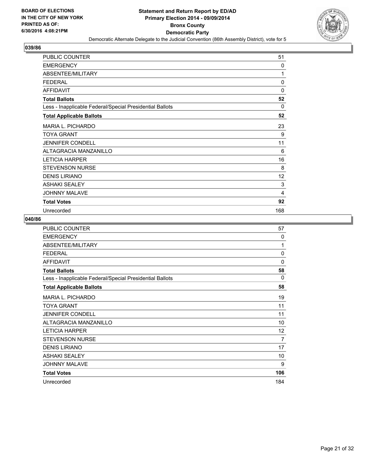![](_page_20_Picture_2.jpeg)

| PUBLIC COUNTER                                           | 51       |
|----------------------------------------------------------|----------|
| <b>EMERGENCY</b>                                         | 0        |
| ABSENTEE/MILITARY                                        | 1        |
| <b>FEDERAL</b>                                           | 0        |
| <b>AFFIDAVIT</b>                                         | 0        |
| <b>Total Ballots</b>                                     | 52       |
| Less - Inapplicable Federal/Special Presidential Ballots | $\Omega$ |
| <b>Total Applicable Ballots</b>                          | 52       |
| <b>MARIA L. PICHARDO</b>                                 | 23       |
| <b>TOYA GRANT</b>                                        | 9        |
| <b>JENNIFER CONDELL</b>                                  | 11       |
| ALTAGRACIA MANZANILLO                                    | 6        |
| <b>LETICIA HARPER</b>                                    | 16       |
| <b>STEVENSON NURSE</b>                                   | 8        |
| <b>DENIS LIRIANO</b>                                     | 12       |
| <b>ASHAKI SEALEY</b>                                     | 3        |
| <b>JOHNNY MALAVE</b>                                     | 4        |
| <b>Total Votes</b>                                       | 92       |
| Unrecorded                                               | 168      |

| PUBLIC COUNTER                                           | 57           |
|----------------------------------------------------------|--------------|
| <b>EMERGENCY</b>                                         | $\mathbf{0}$ |
| ABSENTEE/MILITARY                                        | 1            |
| <b>FEDERAL</b>                                           | 0            |
| <b>AFFIDAVIT</b>                                         | $\mathbf{0}$ |
| <b>Total Ballots</b>                                     | 58           |
| Less - Inapplicable Federal/Special Presidential Ballots | 0            |
| <b>Total Applicable Ballots</b>                          | 58           |
| MARIA L. PICHARDO                                        | 19           |
| <b>TOYA GRANT</b>                                        | 11           |
| <b>JENNIFER CONDELL</b>                                  | 11           |
| ALTAGRACIA MANZANILLO                                    | 10           |
| <b>LETICIA HARPER</b>                                    | 12           |
| <b>STEVENSON NURSE</b>                                   | 7            |
| <b>DENIS LIRIANO</b>                                     | 17           |
| <b>ASHAKI SEALEY</b>                                     | 10           |
| <b>JOHNNY MALAVE</b>                                     | 9            |
| <b>Total Votes</b>                                       | 106          |
| Unrecorded                                               | 184          |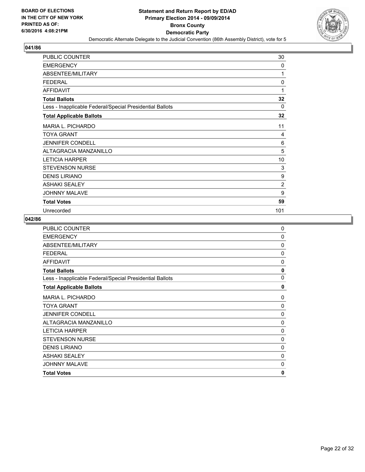![](_page_21_Picture_2.jpeg)

| PUBLIC COUNTER                                           | 30             |
|----------------------------------------------------------|----------------|
| <b>EMERGENCY</b>                                         | 0              |
| <b>ABSENTEE/MILITARY</b>                                 | 1              |
| <b>FEDERAL</b>                                           | $\mathbf 0$    |
| <b>AFFIDAVIT</b>                                         | 1              |
| <b>Total Ballots</b>                                     | 32             |
| Less - Inapplicable Federal/Special Presidential Ballots | $\Omega$       |
| <b>Total Applicable Ballots</b>                          | 32             |
| <b>MARIA L. PICHARDO</b>                                 | 11             |
| <b>TOYA GRANT</b>                                        | 4              |
| <b>JENNIFER CONDELL</b>                                  | 6              |
| <b>ALTAGRACIA MANZANILLO</b>                             | 5              |
| <b>LETICIA HARPER</b>                                    | 10             |
| <b>STEVENSON NURSE</b>                                   | 3              |
| <b>DENIS LIRIANO</b>                                     | 9              |
| <b>ASHAKI SEALEY</b>                                     | $\overline{2}$ |
| <b>JOHNNY MALAVE</b>                                     | 9              |
| <b>Total Votes</b>                                       | 59             |
| Unrecorded                                               | 101            |

| <b>EMERGENCY</b><br>0<br>ABSENTEE/MILITARY<br>0<br><b>FEDERAL</b><br>0<br><b>AFFIDAVIT</b><br>0<br><b>Total Ballots</b><br>0<br>$\Omega$<br>Less - Inapplicable Federal/Special Presidential Ballots<br><b>Total Applicable Ballots</b><br>0<br><b>MARIA L. PICHARDO</b><br>0<br><b>TOYA GRANT</b><br>0<br><b>JENNIFER CONDELL</b><br>0<br>ALTAGRACIA MANZANILLO<br>0<br><b>LETICIA HARPER</b><br>0 |
|-----------------------------------------------------------------------------------------------------------------------------------------------------------------------------------------------------------------------------------------------------------------------------------------------------------------------------------------------------------------------------------------------------|
|                                                                                                                                                                                                                                                                                                                                                                                                     |
|                                                                                                                                                                                                                                                                                                                                                                                                     |
|                                                                                                                                                                                                                                                                                                                                                                                                     |
|                                                                                                                                                                                                                                                                                                                                                                                                     |
|                                                                                                                                                                                                                                                                                                                                                                                                     |
|                                                                                                                                                                                                                                                                                                                                                                                                     |
|                                                                                                                                                                                                                                                                                                                                                                                                     |
|                                                                                                                                                                                                                                                                                                                                                                                                     |
|                                                                                                                                                                                                                                                                                                                                                                                                     |
|                                                                                                                                                                                                                                                                                                                                                                                                     |
|                                                                                                                                                                                                                                                                                                                                                                                                     |
|                                                                                                                                                                                                                                                                                                                                                                                                     |
| <b>STEVENSON NURSE</b><br>0                                                                                                                                                                                                                                                                                                                                                                         |
| <b>DENIS LIRIANO</b><br>0                                                                                                                                                                                                                                                                                                                                                                           |
| <b>ASHAKI SEALEY</b><br>0                                                                                                                                                                                                                                                                                                                                                                           |
| <b>JOHNNY MALAVE</b><br>$\Omega$                                                                                                                                                                                                                                                                                                                                                                    |
| $\mathbf{0}$<br><b>Total Votes</b>                                                                                                                                                                                                                                                                                                                                                                  |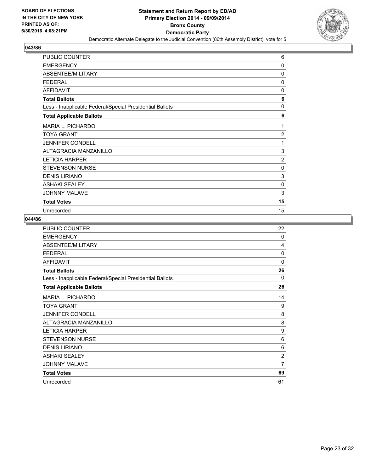![](_page_22_Picture_2.jpeg)

| PUBLIC COUNTER                                           | 6              |
|----------------------------------------------------------|----------------|
| <b>EMERGENCY</b>                                         | 0              |
| <b>ABSENTEE/MILITARY</b>                                 | 0              |
| <b>FEDERAL</b>                                           | 0              |
| <b>AFFIDAVIT</b>                                         | 0              |
| <b>Total Ballots</b>                                     | 6              |
| Less - Inapplicable Federal/Special Presidential Ballots | $\mathbf{0}$   |
| <b>Total Applicable Ballots</b>                          | 6              |
| <b>MARIA L. PICHARDO</b>                                 | 1              |
| <b>TOYA GRANT</b>                                        | $\overline{2}$ |
| <b>JENNIFER CONDELL</b>                                  | 1              |
| <b>ALTAGRACIA MANZANILLO</b>                             | 3              |
| <b>LETICIA HARPER</b>                                    | $\overline{2}$ |
| <b>STEVENSON NURSE</b>                                   | 0              |
| <b>DENIS LIRIANO</b>                                     | 3              |
| <b>ASHAKI SEALEY</b>                                     | 0              |
| <b>JOHNNY MALAVE</b>                                     | 3              |
| <b>Total Votes</b>                                       | 15             |
| Unrecorded                                               | 15             |

| <b>PUBLIC COUNTER</b>                                    | 22             |
|----------------------------------------------------------|----------------|
| <b>EMERGENCY</b>                                         | $\mathbf{0}$   |
| ABSENTEE/MILITARY                                        | 4              |
| <b>FEDERAL</b>                                           | 0              |
| <b>AFFIDAVIT</b>                                         | $\Omega$       |
| <b>Total Ballots</b>                                     | 26             |
| Less - Inapplicable Federal/Special Presidential Ballots | 0              |
| <b>Total Applicable Ballots</b>                          | 26             |
| MARIA L. PICHARDO                                        | 14             |
| <b>TOYA GRANT</b>                                        | 9              |
| <b>JENNIFER CONDELL</b>                                  | 8              |
| ALTAGRACIA MANZANILLO                                    | 8              |
| <b>LETICIA HARPER</b>                                    | 9              |
| <b>STEVENSON NURSE</b>                                   | 6              |
| <b>DENIS LIRIANO</b>                                     | 6              |
| <b>ASHAKI SEALEY</b>                                     | $\overline{2}$ |
| <b>JOHNNY MALAVE</b>                                     | 7              |
| <b>Total Votes</b>                                       | 69             |
| Unrecorded                                               | 61             |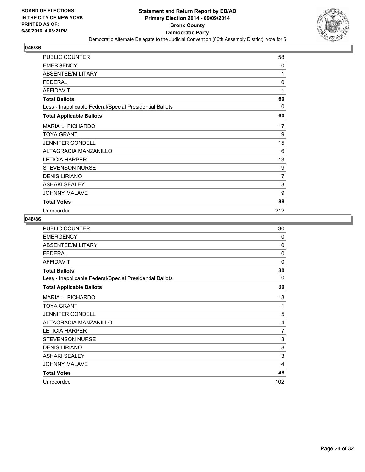![](_page_23_Picture_2.jpeg)

| PUBLIC COUNTER                                           | 58             |
|----------------------------------------------------------|----------------|
| <b>EMERGENCY</b>                                         | 0              |
| <b>ABSENTEE/MILITARY</b>                                 | 1              |
| <b>FEDERAL</b>                                           | 0              |
| <b>AFFIDAVIT</b>                                         | 1              |
| <b>Total Ballots</b>                                     | 60             |
| Less - Inapplicable Federal/Special Presidential Ballots | $\Omega$       |
| <b>Total Applicable Ballots</b>                          | 60             |
| <b>MARIA L. PICHARDO</b>                                 | 17             |
| <b>TOYA GRANT</b>                                        | 9              |
| <b>JENNIFER CONDELL</b>                                  | 15             |
| <b>ALTAGRACIA MANZANILLO</b>                             | 6              |
| <b>LETICIA HARPER</b>                                    | 13             |
| <b>STEVENSON NURSE</b>                                   | 9              |
| <b>DENIS LIRIANO</b>                                     | $\overline{7}$ |
| <b>ASHAKI SEALEY</b>                                     | 3              |
| <b>JOHNNY MALAVE</b>                                     | 9              |
| <b>Total Votes</b>                                       | 88             |
| Unrecorded                                               | 212            |

| PUBLIC COUNTER                                           | 30           |
|----------------------------------------------------------|--------------|
| <b>EMERGENCY</b>                                         | 0            |
| ABSENTEE/MILITARY                                        | 0            |
| <b>FEDERAL</b>                                           | $\mathbf{0}$ |
| <b>AFFIDAVIT</b>                                         | $\mathbf{0}$ |
| <b>Total Ballots</b>                                     | 30           |
| Less - Inapplicable Federal/Special Presidential Ballots | 0            |
| <b>Total Applicable Ballots</b>                          | 30           |
| <b>MARIA L. PICHARDO</b>                                 | 13           |
| TOYA GRANT                                               | 1            |
| <b>JENNIFER CONDELL</b>                                  | 5            |
| ALTAGRACIA MANZANILLO                                    | 4            |
| <b>LETICIA HARPER</b>                                    | 7            |
| <b>STEVENSON NURSE</b>                                   | 3            |
| <b>DENIS LIRIANO</b>                                     | 8            |
| <b>ASHAKI SEALEY</b>                                     | 3            |
| <b>JOHNNY MALAVE</b>                                     | 4            |
| <b>Total Votes</b>                                       | 48           |
| Unrecorded                                               | 102          |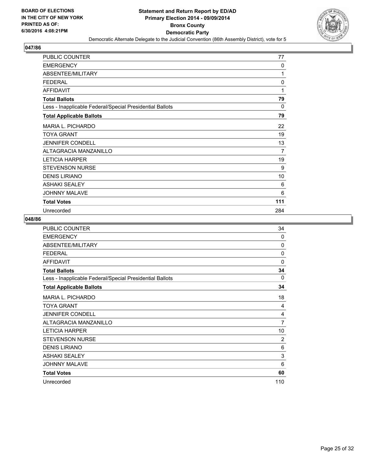![](_page_24_Picture_2.jpeg)

| <b>PUBLIC COUNTER</b>                                    | 77       |
|----------------------------------------------------------|----------|
| <b>EMERGENCY</b>                                         | 0        |
| ABSENTEE/MILITARY                                        | 1        |
| <b>FEDERAL</b>                                           | 0        |
| <b>AFFIDAVIT</b>                                         | 1        |
| <b>Total Ballots</b>                                     | 79       |
| Less - Inapplicable Federal/Special Presidential Ballots | $\Omega$ |
| <b>Total Applicable Ballots</b>                          | 79       |
| <b>MARIA L. PICHARDO</b>                                 | 22       |
| <b>TOYA GRANT</b>                                        | 19       |
| <b>JENNIFER CONDELL</b>                                  | 13       |
| ALTAGRACIA MANZANILLO                                    | 7        |
| <b>LETICIA HARPER</b>                                    | 19       |
| <b>STEVENSON NURSE</b>                                   | 9        |
| <b>DENIS LIRIANO</b>                                     | 10       |
| <b>ASHAKI SEALEY</b>                                     | 6        |
| <b>JOHNNY MALAVE</b>                                     | 6        |
| <b>Total Votes</b>                                       | 111      |
| Unrecorded                                               | 284      |

| <b>PUBLIC COUNTER</b>                                    | 34             |
|----------------------------------------------------------|----------------|
| <b>EMERGENCY</b>                                         | 0              |
| ABSENTEE/MILITARY                                        | 0              |
| <b>FEDERAL</b>                                           | $\Omega$       |
| <b>AFFIDAVIT</b>                                         | $\Omega$       |
| <b>Total Ballots</b>                                     | 34             |
| Less - Inapplicable Federal/Special Presidential Ballots | 0              |
| <b>Total Applicable Ballots</b>                          | 34             |
| <b>MARIA L. PICHARDO</b>                                 | 18             |
| <b>TOYA GRANT</b>                                        | 4              |
| <b>JENNIFER CONDELL</b>                                  | 4              |
| ALTAGRACIA MANZANILLO                                    | 7              |
| <b>LETICIA HARPER</b>                                    | 10             |
| <b>STEVENSON NURSE</b>                                   | $\overline{2}$ |
| <b>DENIS LIRIANO</b>                                     | 6              |
| <b>ASHAKI SEALEY</b>                                     | 3              |
| <b>JOHNNY MALAVE</b>                                     | 6              |
| <b>Total Votes</b>                                       | 60             |
| Unrecorded                                               | 110            |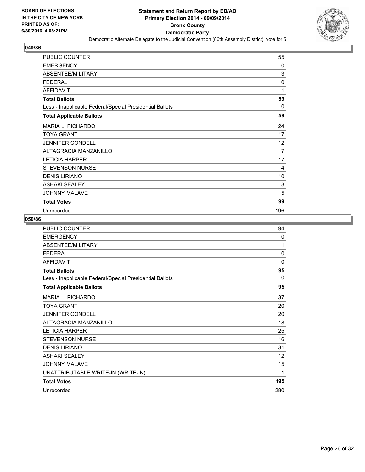![](_page_25_Picture_2.jpeg)

| <b>PUBLIC COUNTER</b>                                    | 55             |
|----------------------------------------------------------|----------------|
| <b>EMERGENCY</b>                                         | 0              |
| <b>ABSENTEE/MILITARY</b>                                 | 3              |
| <b>FEDERAL</b>                                           | $\mathbf 0$    |
| <b>AFFIDAVIT</b>                                         | 1              |
| <b>Total Ballots</b>                                     | 59             |
| Less - Inapplicable Federal/Special Presidential Ballots | $\Omega$       |
| <b>Total Applicable Ballots</b>                          | 59             |
| <b>MARIA L. PICHARDO</b>                                 | 24             |
| <b>TOYA GRANT</b>                                        | 17             |
| <b>JENNIFER CONDELL</b>                                  | 12             |
| <b>ALTAGRACIA MANZANILLO</b>                             | $\overline{7}$ |
| <b>LETICIA HARPER</b>                                    | 17             |
| <b>STEVENSON NURSE</b>                                   | 4              |
| <b>DENIS LIRIANO</b>                                     | 10             |
| <b>ASHAKI SEALEY</b>                                     | 3              |
| <b>JOHNNY MALAVE</b>                                     | 5              |
| <b>Total Votes</b>                                       | 99             |
| Unrecorded                                               | 196            |

| <b>PUBLIC COUNTER</b>                                    | 94           |
|----------------------------------------------------------|--------------|
| <b>EMERGENCY</b>                                         | 0            |
| ABSENTEE/MILITARY                                        | 1            |
| <b>FEDERAL</b>                                           | 0            |
| <b>AFFIDAVIT</b>                                         | $\mathbf{0}$ |
| <b>Total Ballots</b>                                     | 95           |
| Less - Inapplicable Federal/Special Presidential Ballots | $\Omega$     |
| <b>Total Applicable Ballots</b>                          | 95           |
| <b>MARIA L. PICHARDO</b>                                 | 37           |
| <b>TOYA GRANT</b>                                        | 20           |
| <b>JENNIFER CONDELL</b>                                  | 20           |
| <b>ALTAGRACIA MANZANILLO</b>                             | 18           |
| <b>LETICIA HARPER</b>                                    | 25           |
| <b>STEVENSON NURSE</b>                                   | 16           |
| <b>DENIS LIRIANO</b>                                     | 31           |
| <b>ASHAKI SEALEY</b>                                     | 12           |
| <b>JOHNNY MALAVE</b>                                     | 15           |
| UNATTRIBUTABLE WRITE-IN (WRITE-IN)                       | 1            |
| <b>Total Votes</b>                                       | 195          |
| Unrecorded                                               | 280          |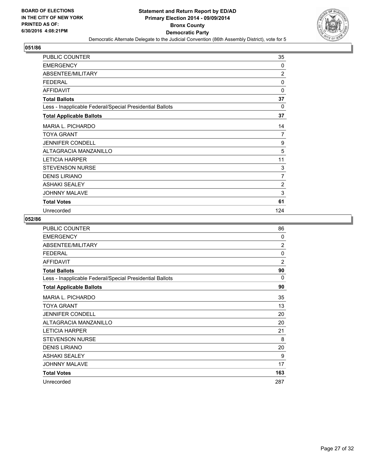![](_page_26_Picture_2.jpeg)

| PUBLIC COUNTER                                           | 35             |
|----------------------------------------------------------|----------------|
| <b>EMERGENCY</b>                                         | 0              |
| ABSENTEE/MILITARY                                        | $\overline{2}$ |
| <b>FEDERAL</b>                                           | 0              |
| <b>AFFIDAVIT</b>                                         | $\mathbf 0$    |
| <b>Total Ballots</b>                                     | 37             |
| Less - Inapplicable Federal/Special Presidential Ballots | $\Omega$       |
| <b>Total Applicable Ballots</b>                          | 37             |
| <b>MARIA L. PICHARDO</b>                                 | 14             |
| <b>TOYA GRANT</b>                                        | $\overline{7}$ |
| <b>JENNIFER CONDELL</b>                                  | 9              |
| ALTAGRACIA MANZANILLO                                    | 5              |
| <b>LETICIA HARPER</b>                                    | 11             |
| <b>STEVENSON NURSE</b>                                   | 3              |
| <b>DENIS LIRIANO</b>                                     | 7              |
| <b>ASHAKI SEALEY</b>                                     | $\overline{2}$ |
| <b>JOHNNY MALAVE</b>                                     | 3              |
| <b>Total Votes</b>                                       | 61             |
| Unrecorded                                               | 124            |

| <b>PUBLIC COUNTER</b>                                    | 86             |
|----------------------------------------------------------|----------------|
| <b>EMERGENCY</b>                                         | $\Omega$       |
| ABSENTEE/MILITARY                                        | $\overline{2}$ |
| <b>FEDERAL</b>                                           | 0              |
| <b>AFFIDAVIT</b>                                         | $\overline{2}$ |
| <b>Total Ballots</b>                                     | 90             |
| Less - Inapplicable Federal/Special Presidential Ballots | 0              |
| <b>Total Applicable Ballots</b>                          | 90             |
| <b>MARIA L. PICHARDO</b>                                 | 35             |
| TOYA GRANT                                               | 13             |
| <b>JENNIFER CONDELL</b>                                  | 20             |
| ALTAGRACIA MANZANILLO                                    | 20             |
| <b>LETICIA HARPER</b>                                    | 21             |
| <b>STEVENSON NURSE</b>                                   | 8              |
| <b>DENIS LIRIANO</b>                                     | 20             |
| <b>ASHAKI SEALEY</b>                                     | 9              |
| <b>JOHNNY MALAVE</b>                                     | 17             |
| <b>Total Votes</b>                                       | 163            |
| Unrecorded                                               | 287            |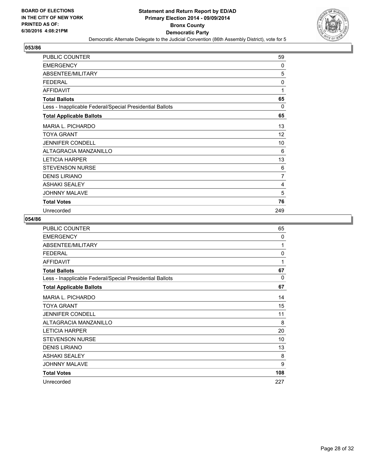![](_page_27_Picture_2.jpeg)

| PUBLIC COUNTER                                           | 59       |
|----------------------------------------------------------|----------|
| <b>EMERGENCY</b>                                         | 0        |
| <b>ABSENTEE/MILITARY</b>                                 | 5        |
| <b>FEDERAL</b>                                           | 0        |
| <b>AFFIDAVIT</b>                                         | 1        |
| <b>Total Ballots</b>                                     | 65       |
| Less - Inapplicable Federal/Special Presidential Ballots | $\Omega$ |
| <b>Total Applicable Ballots</b>                          | 65       |
| <b>MARIA L. PICHARDO</b>                                 | 13       |
| <b>TOYA GRANT</b>                                        | 12       |
| <b>JENNIFER CONDELL</b>                                  | 10       |
| ALTAGRACIA MANZANILLO                                    | 6        |
| <b>LETICIA HARPER</b>                                    | 13       |
| <b>STEVENSON NURSE</b>                                   | 6        |
| <b>DENIS LIRIANO</b>                                     | 7        |
| <b>ASHAKI SEALEY</b>                                     | 4        |
| <b>JOHNNY MALAVE</b>                                     | 5        |
| <b>Total Votes</b>                                       | 76       |
| Unrecorded                                               | 249      |

| <b>PUBLIC COUNTER</b>                                    | 65       |
|----------------------------------------------------------|----------|
| <b>EMERGENCY</b>                                         | $\Omega$ |
| ABSENTEE/MILITARY                                        | 1        |
| <b>FEDERAL</b>                                           | 0        |
| <b>AFFIDAVIT</b>                                         | 1        |
| <b>Total Ballots</b>                                     | 67       |
| Less - Inapplicable Federal/Special Presidential Ballots | 0        |
| <b>Total Applicable Ballots</b>                          | 67       |
| MARIA L. PICHARDO                                        | 14       |
| <b>TOYA GRANT</b>                                        | 15       |
| <b>JENNIFER CONDELL</b>                                  | 11       |
| ALTAGRACIA MANZANILLO                                    | 8        |
| <b>LETICIA HARPER</b>                                    | 20       |
| <b>STEVENSON NURSE</b>                                   | 10       |
| <b>DENIS LIRIANO</b>                                     | 13       |
| <b>ASHAKI SEALEY</b>                                     | 8        |
| <b>JOHNNY MALAVE</b>                                     | 9        |
| <b>Total Votes</b>                                       | 108      |
| Unrecorded                                               | 227      |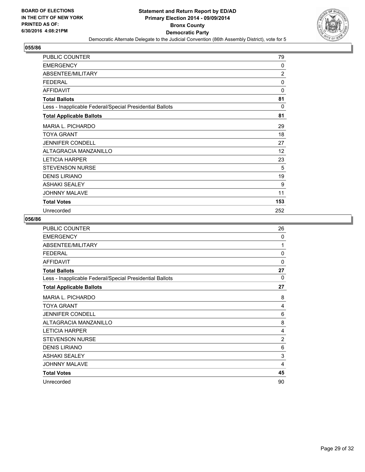![](_page_28_Picture_2.jpeg)

| <b>PUBLIC COUNTER</b>                                    | 79             |
|----------------------------------------------------------|----------------|
| <b>EMERGENCY</b>                                         | 0              |
| <b>ABSENTEE/MILITARY</b>                                 | $\overline{2}$ |
| <b>FEDERAL</b>                                           | 0              |
| <b>AFFIDAVIT</b>                                         | 0              |
| <b>Total Ballots</b>                                     | 81             |
| Less - Inapplicable Federal/Special Presidential Ballots | $\mathbf{0}$   |
| <b>Total Applicable Ballots</b>                          | 81             |
| <b>MARIA L. PICHARDO</b>                                 | 29             |
| <b>TOYA GRANT</b>                                        | 18             |
| <b>JENNIFER CONDELL</b>                                  | 27             |
| <b>ALTAGRACIA MANZANILLO</b>                             | 12             |
| <b>LETICIA HARPER</b>                                    | 23             |
| <b>STEVENSON NURSE</b>                                   | 5              |
| <b>DENIS LIRIANO</b>                                     | 19             |
| <b>ASHAKI SEALEY</b>                                     | 9              |
| <b>JOHNNY MALAVE</b>                                     | 11             |
| <b>Total Votes</b>                                       | 153            |
| Unrecorded                                               | 252            |

| <b>PUBLIC COUNTER</b>                                    | 26           |
|----------------------------------------------------------|--------------|
| <b>EMERGENCY</b>                                         | 0            |
| ABSENTEE/MILITARY                                        | 1            |
| <b>FEDERAL</b>                                           | 0            |
| <b>AFFIDAVIT</b>                                         | $\mathbf{0}$ |
| <b>Total Ballots</b>                                     | 27           |
| Less - Inapplicable Federal/Special Presidential Ballots | $\Omega$     |
| <b>Total Applicable Ballots</b>                          | 27           |
| <b>MARIA L. PICHARDO</b>                                 | 8            |
| <b>TOYA GRANT</b>                                        | 4            |
| <b>JENNIFER CONDELL</b>                                  | 6            |
| ALTAGRACIA MANZANILLO                                    | 8            |
| <b>LETICIA HARPER</b>                                    | 4            |
| <b>STEVENSON NURSE</b>                                   | 2            |
| <b>DENIS LIRIANO</b>                                     | 6            |
| <b>ASHAKI SEALEY</b>                                     | 3            |
| <b>JOHNNY MALAVE</b>                                     | 4            |
| <b>Total Votes</b>                                       | 45           |
| Unrecorded                                               | 90           |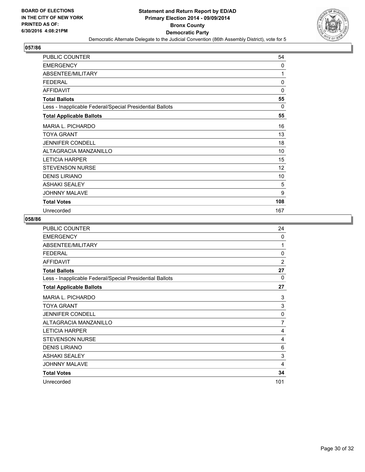![](_page_29_Picture_2.jpeg)

| PUBLIC COUNTER                                           | 54          |
|----------------------------------------------------------|-------------|
| <b>EMERGENCY</b>                                         | 0           |
| ABSENTEE/MILITARY                                        | 1           |
| <b>FEDERAL</b>                                           | 0           |
| <b>AFFIDAVIT</b>                                         | $\mathbf 0$ |
| <b>Total Ballots</b>                                     | 55          |
| Less - Inapplicable Federal/Special Presidential Ballots | $\Omega$    |
| <b>Total Applicable Ballots</b>                          | 55          |
| <b>MARIA L. PICHARDO</b>                                 | 16          |
| TOYA GRANT                                               | 13          |
| <b>JENNIFER CONDELL</b>                                  | 18          |
| ALTAGRACIA MANZANILLO                                    | 10          |
| <b>LETICIA HARPER</b>                                    | 15          |
| <b>STEVENSON NURSE</b>                                   | 12          |
| <b>DENIS LIRIANO</b>                                     | 10          |
| <b>ASHAKI SEALEY</b>                                     | 5           |
| <b>JOHNNY MALAVE</b>                                     | 9           |
| <b>Total Votes</b>                                       | 108         |
| Unrecorded                                               | 167         |

| PUBLIC COUNTER                                           | 24             |
|----------------------------------------------------------|----------------|
| <b>EMERGENCY</b>                                         | $\mathbf{0}$   |
| ABSENTEE/MILITARY                                        | 1              |
| <b>FEDERAL</b>                                           | 0              |
| <b>AFFIDAVIT</b>                                         | $\overline{2}$ |
| <b>Total Ballots</b>                                     | 27             |
| Less - Inapplicable Federal/Special Presidential Ballots | 0              |
| <b>Total Applicable Ballots</b>                          | 27             |
| MARIA L. PICHARDO                                        | 3              |
| <b>TOYA GRANT</b>                                        | 3              |
| <b>JENNIFER CONDELL</b>                                  | $\mathbf{0}$   |
| ALTAGRACIA MANZANILLO                                    | $\overline{7}$ |
| <b>LETICIA HARPER</b>                                    | 4              |
| <b>STEVENSON NURSE</b>                                   | 4              |
| <b>DENIS LIRIANO</b>                                     | 6              |
| <b>ASHAKI SEALEY</b>                                     | 3              |
| <b>JOHNNY MALAVE</b>                                     | 4              |
| <b>Total Votes</b>                                       | 34             |
| Unrecorded                                               | 101            |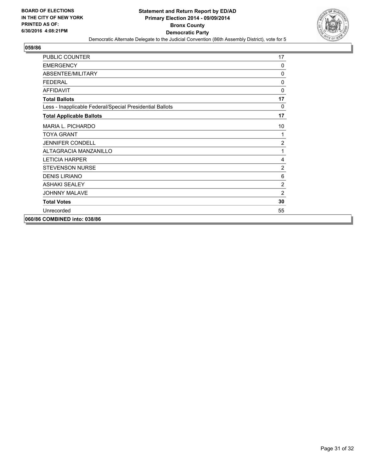![](_page_30_Picture_2.jpeg)

| <b>PUBLIC COUNTER</b>                                    | 17             |
|----------------------------------------------------------|----------------|
| <b>EMERGENCY</b>                                         | 0              |
| ABSENTEE/MILITARY                                        | $\Omega$       |
| <b>FFDFRAL</b>                                           | $\Omega$       |
| <b>AFFIDAVIT</b>                                         | $\mathbf{0}$   |
| <b>Total Ballots</b>                                     | 17             |
| Less - Inapplicable Federal/Special Presidential Ballots | $\mathbf{0}$   |
| <b>Total Applicable Ballots</b>                          | 17             |
| <b>MARIA L. PICHARDO</b>                                 | 10             |
| <b>TOYA GRANT</b>                                        | 1              |
| <b>JENNIFER CONDELL</b>                                  | $\overline{2}$ |
| ALTAGRACIA MANZANILLO                                    | 1              |
| <b>LETICIA HARPER</b>                                    | 4              |
| <b>STEVENSON NURSE</b>                                   | $\overline{2}$ |
| <b>DENIS LIRIANO</b>                                     | 6              |
| <b>ASHAKI SEALEY</b>                                     | 2              |
| <b>JOHNNY MALAVE</b>                                     | 2              |
| <b>Total Votes</b>                                       | 30             |
| Unrecorded                                               | 55             |
| 060/86 COMBINED into: 038/86                             |                |